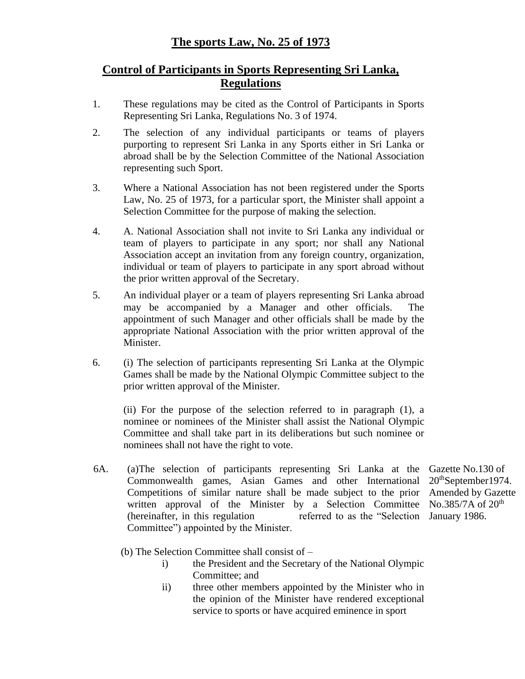## **Control of Participants in Sports Representing Sri Lanka, Regulations**

- 1. These regulations may be cited as the Control of Participants in Sports Representing Sri Lanka, Regulations No. 3 of 1974.
- 2. The selection of any individual participants or teams of players purporting to represent Sri Lanka in any Sports either in Sri Lanka or abroad shall be by the Selection Committee of the National Association representing such Sport.
- 3. Where a National Association has not been registered under the Sports Law, No. 25 of 1973, for a particular sport, the Minister shall appoint a Selection Committee for the purpose of making the selection.
- 4. A. National Association shall not invite to Sri Lanka any individual or team of players to participate in any sport; nor shall any National Association accept an invitation from any foreign country, organization, individual or team of players to participate in any sport abroad without the prior written approval of the Secretary.
- 5. An individual player or a team of players representing Sri Lanka abroad may be accompanied by a Manager and other officials. The appointment of such Manager and other officials shall be made by the appropriate National Association with the prior written approval of the Minister.
- 6. (i) The selection of participants representing Sri Lanka at the Olympic Games shall be made by the National Olympic Committee subject to the prior written approval of the Minister.

(ii) For the purpose of the selection referred to in paragraph (1), a nominee or nominees of the Minister shall assist the National Olympic Committee and shall take part in its deliberations but such nominee or nominees shall not have the right to vote.

- 6A. (a)The selection of participants representing Sri Lanka at the Gazette No.130 of Commonwealth games, Asian Games and other International 20<sup>th</sup>September1974. Competitions of similar nature shall be made subject to the prior Amended by Gazette written approval of the Minister by a Selection Committee No.385/7A of 20<sup>th</sup> (hereinafter, in this regulation Committee") appointed by the Minister. referred to as the "Selection January 1986.
	- (b) The Selection Committee shall consist of
		- i) the President and the Secretary of the National Olympic Committee; and
		- ii) three other members appointed by the Minister who in the opinion of the Minister have rendered exceptional service to sports or have acquired eminence in sport